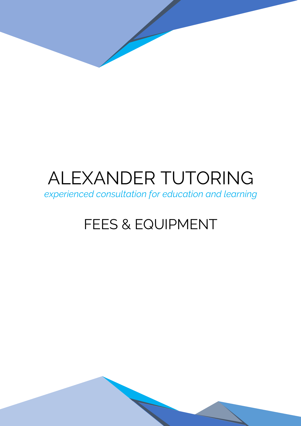# ALEXANDER TUTORING

*experienced consultation for education and learning*

# FEES & EQUIPMENT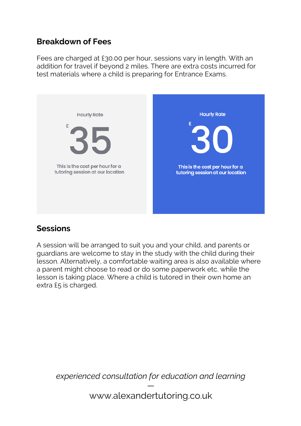#### **Breakdown of Fees**

Fees are charged at £30.00 per hour, sessions vary in length. With an addition for travel if beyond 2 miles. There are extra costs incurred for test materials where a child is preparing for Entrance Exams.



#### **Sessions**

A session will be arranged to suit you and your child, and parents or guardians are welcome to stay in the study with the child during their lesson. Alternatively, a comfortable waiting area is also available where a parent might choose to read or do some paperwork etc. while the lesson is taking place. Where a child is tutored in their own home an extra £5 is charged.

*experienced consultation for education and learning* —

www.alexandertutoring.co.uk